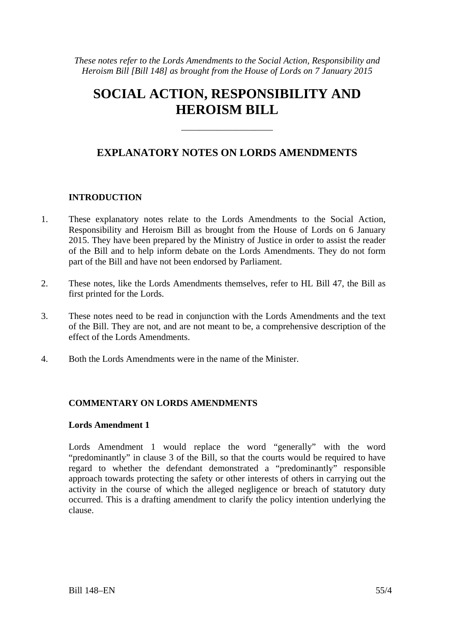*These notes refer to the Lords Amendments to the Social Action, Responsibility and Heroism Bill [Bill 148] as brought from the House of Lords on 7 January 2015* 

# **SOCIAL ACTION, RESPONSIBILITY AND HEROISM BILL**

## **EXPLANATORY NOTES ON LORDS AMENDMENTS**

——————————

### **INTRODUCTION**

- 1. These explanatory notes relate to the Lords Amendments to the Social Action, Responsibility and Heroism Bill as brought from the House of Lords on 6 January 2015. They have been prepared by the Ministry of Justice in order to assist the reader of the Bill and to help inform debate on the Lords Amendments. They do not form part of the Bill and have not been endorsed by Parliament.
- 2. These notes, like the Lords Amendments themselves, refer to HL Bill 47, the Bill as first printed for the Lords.
- 3. These notes need to be read in conjunction with the Lords Amendments and the text of the Bill. They are not, and are not meant to be, a comprehensive description of the effect of the Lords Amendments.
- 4. Both the Lords Amendments were in the name of the Minister.

#### **COMMENTARY ON LORDS AMENDMENTS**

#### **Lords Amendment 1**

Lords Amendment 1 would replace the word "generally" with the word "predominantly" in clause 3 of the Bill, so that the courts would be required to have regard to whether the defendant demonstrated a "predominantly" responsible approach towards protecting the safety or other interests of others in carrying out the activity in the course of which the alleged negligence or breach of statutory duty occurred. This is a drafting amendment to clarify the policy intention underlying the clause.